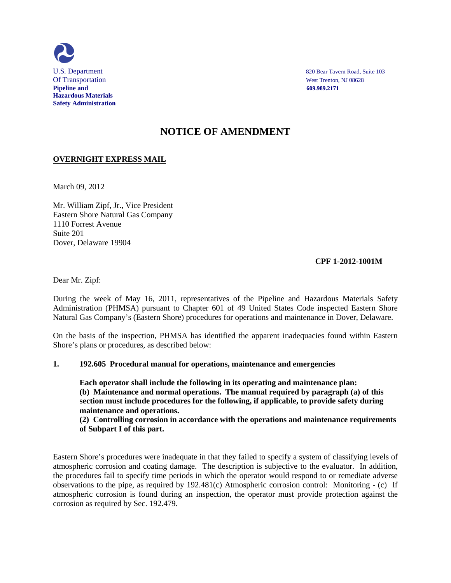

U.S. Department 820 Bear Tavern Road, Suite 103

# **NOTICE OF AMENDMENT**

## **OVERNIGHT EXPRESS MAIL**

March 09, 2012

Mr. William Zipf, Jr., Vice President Eastern Shore Natural Gas Company 1110 Forrest Avenue Suite 201 Dover, Delaware 19904

## **CPF 1-2012-1001M**

Dear Mr. Zipf:

During the week of May 16, 2011, representatives of the Pipeline and Hazardous Materials Safety Administration (PHMSA) pursuant to Chapter 601 of 49 United States Code inspected Eastern Shore Natural Gas Company's (Eastern Shore) procedures for operations and maintenance in Dover, Delaware.

On the basis of the inspection, PHMSA has identified the apparent inadequacies found within Eastern Shore's plans or procedures, as described below:

#### **1. 192.605 Procedural manual for operations, maintenance and emergencies**

**Each operator shall include the following in its operating and maintenance plan: (b) Maintenance and normal operations. The manual required by paragraph (a) of this section must include procedures for the following, if applicable, to provide safety during maintenance and operations.**

**(2) Controlling corrosion in accordance with the operations and maintenance requirements of Subpart I of this part.**

Eastern Shore's procedures were inadequate in that they failed to specify a system of classifying levels of atmospheric corrosion and coating damage. The description is subjective to the evaluator. In addition, the procedures fail to specify time periods in which the operator would respond to or remediate adverse observations to the pipe, as required by 192.481(c) Atmospheric corrosion control: Monitoring - (c) If atmospheric corrosion is found during an inspection, the operator must provide protection against the corrosion as required by Sec. 192.479.